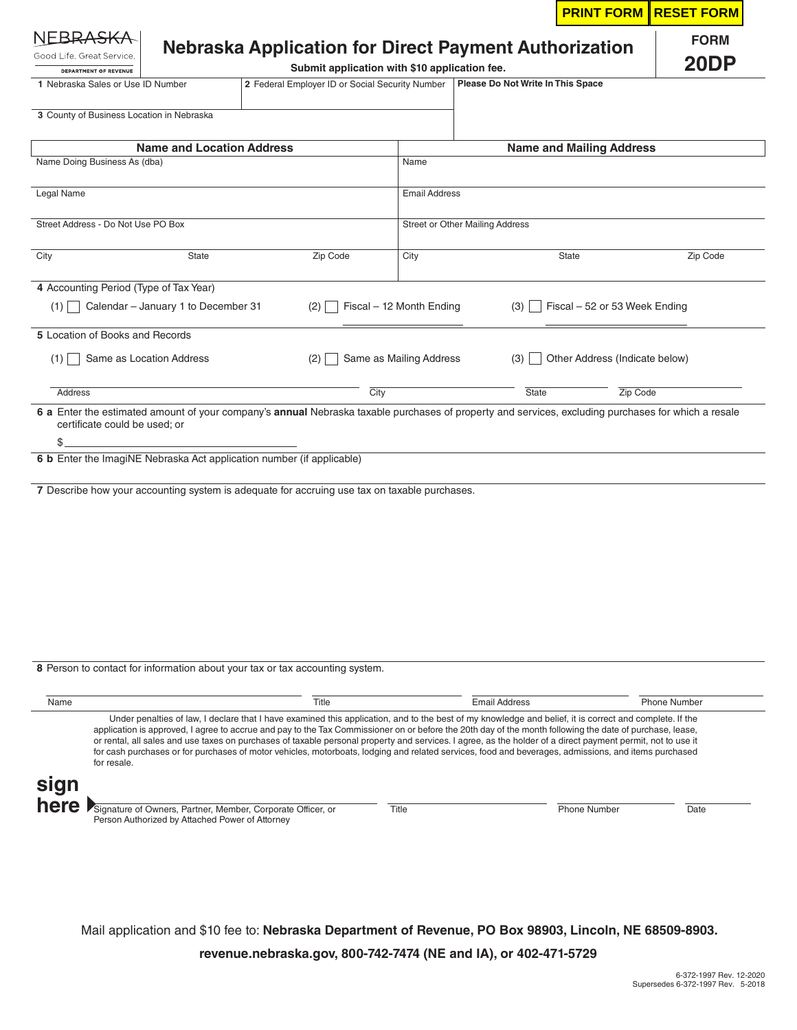| RRASKA                                                                                                                                                                                                                                                                                                                                                                                                                   |                                                       |          |                                                 |                                   |                                 |          | <b>PRINT FORM RESET FORM</b> |
|--------------------------------------------------------------------------------------------------------------------------------------------------------------------------------------------------------------------------------------------------------------------------------------------------------------------------------------------------------------------------------------------------------------------------|-------------------------------------------------------|----------|-------------------------------------------------|-----------------------------------|---------------------------------|----------|------------------------------|
| Good Life, Great Service,<br>DEPARTMENT OF REVENUE                                                                                                                                                                                                                                                                                                                                                                       | Nebraska Application for Direct Payment Authorization |          | Submit application with \$10 application fee.   |                                   |                                 |          | <b>FORM</b><br>20DP          |
| 1 Nebraska Sales or Use ID Number                                                                                                                                                                                                                                                                                                                                                                                        |                                                       |          | 2 Federal Employer ID or Social Security Number | Please Do Not Write In This Space |                                 |          |                              |
| 3 County of Business Location in Nebraska                                                                                                                                                                                                                                                                                                                                                                                |                                                       |          |                                                 |                                   |                                 |          |                              |
|                                                                                                                                                                                                                                                                                                                                                                                                                          | <b>Name and Location Address</b>                      |          |                                                 |                                   | <b>Name and Mailing Address</b> |          |                              |
| Name Doing Business As (dba)                                                                                                                                                                                                                                                                                                                                                                                             |                                                       |          | Name                                            |                                   |                                 |          |                              |
| Legal Name                                                                                                                                                                                                                                                                                                                                                                                                               |                                                       |          | <b>Email Address</b>                            |                                   |                                 |          |                              |
| Street Address - Do Not Use PO Box                                                                                                                                                                                                                                                                                                                                                                                       |                                                       |          | <b>Street or Other Mailing Address</b>          |                                   |                                 |          |                              |
| City<br><b>State</b>                                                                                                                                                                                                                                                                                                                                                                                                     |                                                       | Zip Code | City                                            |                                   | State                           |          | Zip Code                     |
| 4 Accounting Period (Type of Tax Year)                                                                                                                                                                                                                                                                                                                                                                                   |                                                       |          |                                                 |                                   |                                 |          |                              |
| Calendar - January 1 to December 31<br>(1)                                                                                                                                                                                                                                                                                                                                                                               |                                                       | (2)      | Fiscal - 12 Month Ending                        | (3)                               | Fiscal - 52 or 53 Week Ending   |          |                              |
| 5 Location of Books and Records                                                                                                                                                                                                                                                                                                                                                                                          |                                                       |          |                                                 |                                   |                                 |          |                              |
| Same as Location Address<br>$(1)$                                                                                                                                                                                                                                                                                                                                                                                        |                                                       | (2)      | Same as Mailing Address                         | (3)                               | Other Address (Indicate below)  |          |                              |
| Address                                                                                                                                                                                                                                                                                                                                                                                                                  |                                                       |          | City                                            | <b>State</b>                      |                                 | Zip Code |                              |
| \$                                                                                                                                                                                                                                                                                                                                                                                                                       |                                                       |          |                                                 |                                   |                                 |          |                              |
|                                                                                                                                                                                                                                                                                                                                                                                                                          |                                                       |          |                                                 |                                   |                                 |          |                              |
|                                                                                                                                                                                                                                                                                                                                                                                                                          |                                                       |          |                                                 |                                   |                                 |          |                              |
| 6 b Enter the ImagiNE Nebraska Act application number (if applicable)<br>7 Describe how your accounting system is adequate for accruing use tax on taxable purchases.<br>8 Person to contact for information about your tax or tax accounting system.<br>Name<br>Under penalties of law, I declare that I have examined this application, and to the best of my knowledge and belief, it is correct and complete. If the |                                                       | Title    |                                                 | <b>Email Address</b>              |                                 |          | <b>Phone Number</b>          |

Mail application and \$10 fee to: **Nebraska Department of Revenue, PO Box 98903, Lincoln, NE 68509-8903. revenue.nebraska.gov, 800-742-7474 (NE and IA), or 402-471-5729**